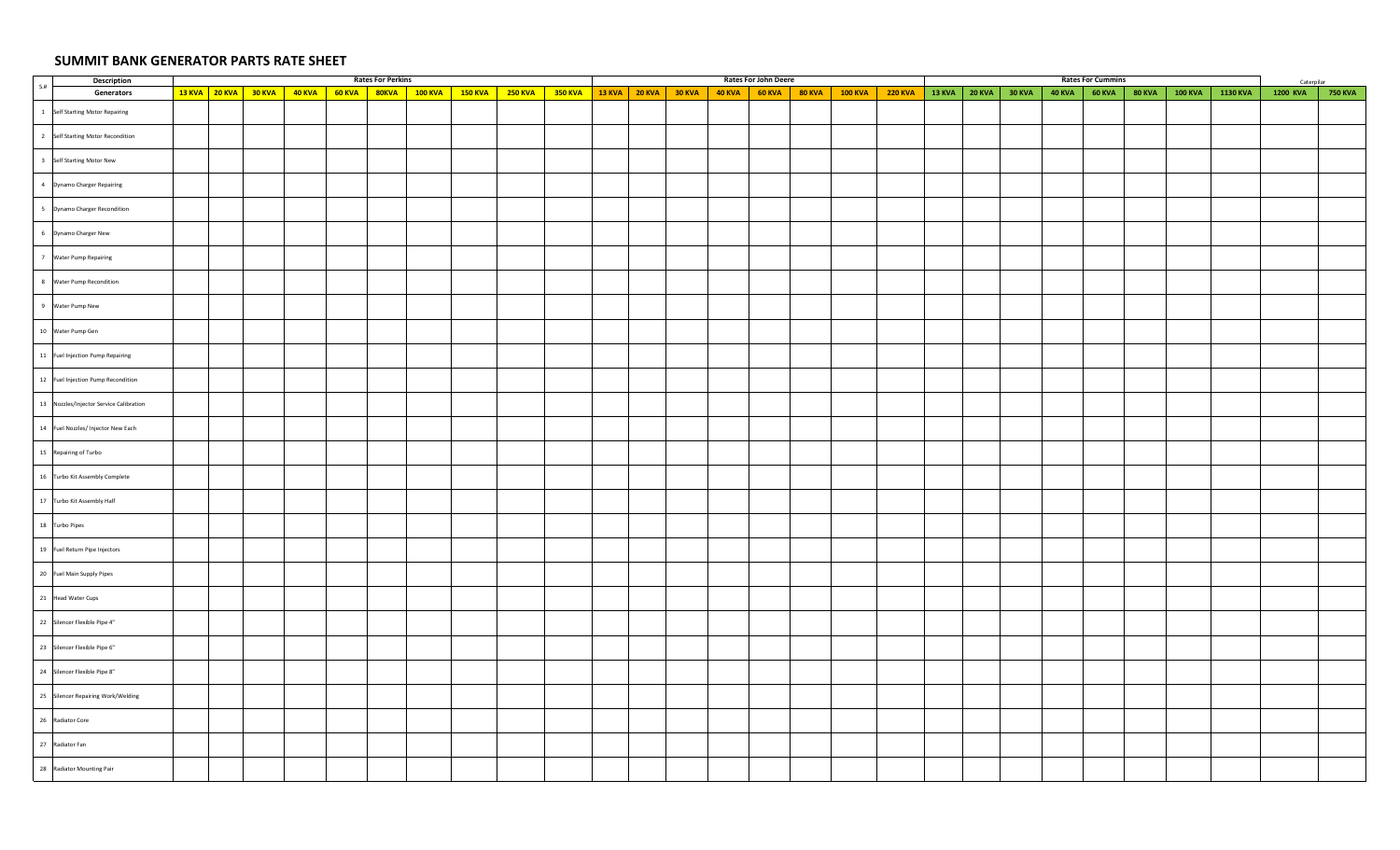## **SUMMIT BANK GENERATOR PARTS RATE SHEET**

| <b>Description</b>                      |  |                                           |  | <b>Rates For Perkins</b> |                                                                                                                |                |  |                                                       | Rates For John Deere |                |                              |  |          | <b>Rates For Cummins</b> |        |                |          | Caterpilar |                |
|-----------------------------------------|--|-------------------------------------------|--|--------------------------|----------------------------------------------------------------------------------------------------------------|----------------|--|-------------------------------------------------------|----------------------|----------------|------------------------------|--|----------|--------------------------|--------|----------------|----------|------------|----------------|
| S.H<br>Generators                       |  | 13 KVA 20 KVA 30 KVA 40 KVA 60 KVA 80 KVA |  |                          | $\begin{array}{ c c c c c }\hline \textbf{100 KVA} & \textbf{150 KVA} & \textbf{250 KVA} \ \hline \end{array}$ | <b>350 KVA</b> |  | $13$ KVA $\vert$ 20 KVA $\vert$ 30 KVA $\vert$ 40 KVA | $60$ KVA             | 80 KVA 300 KVA | 220 KVA 38 KVA 20 KVA 30 KVA |  | $40$ KVA | <b>60 KVA</b>            | 80 KVA | <b>100 KVA</b> | 1130 KVA | 1200 KVA   | <b>750 KVA</b> |
| 1 Self Starting Motor Repairing         |  |                                           |  |                          |                                                                                                                |                |  |                                                       |                      |                |                              |  |          |                          |        |                |          |            |                |
| 2 Self Starting Motor Recondition       |  |                                           |  |                          |                                                                                                                |                |  |                                                       |                      |                |                              |  |          |                          |        |                |          |            |                |
| 3 Self Starting Motor New               |  |                                           |  |                          |                                                                                                                |                |  |                                                       |                      |                |                              |  |          |                          |        |                |          |            |                |
| 4 Dynamo Charger Repairing              |  |                                           |  |                          |                                                                                                                |                |  |                                                       |                      |                |                              |  |          |                          |        |                |          |            |                |
| 5 Dynamo Charger Recondition            |  |                                           |  |                          |                                                                                                                |                |  |                                                       |                      |                |                              |  |          |                          |        |                |          |            |                |
| 6 Dynamo Charger New                    |  |                                           |  |                          |                                                                                                                |                |  |                                                       |                      |                |                              |  |          |                          |        |                |          |            |                |
| 7 Water Pump Repairing                  |  |                                           |  |                          |                                                                                                                |                |  |                                                       |                      |                |                              |  |          |                          |        |                |          |            |                |
| 8 Water Pump Recondition                |  |                                           |  |                          |                                                                                                                |                |  |                                                       |                      |                |                              |  |          |                          |        |                |          |            |                |
| 9 Water Pump New                        |  |                                           |  |                          |                                                                                                                |                |  |                                                       |                      |                |                              |  |          |                          |        |                |          |            |                |
| 10 Water Pump Gen                       |  |                                           |  |                          |                                                                                                                |                |  |                                                       |                      |                |                              |  |          |                          |        |                |          |            |                |
| 11 Fuel Injection Pump Repairing        |  |                                           |  |                          |                                                                                                                |                |  |                                                       |                      |                |                              |  |          |                          |        |                |          |            |                |
| 12 Fuel Injection Pump Recondition      |  |                                           |  |                          |                                                                                                                |                |  |                                                       |                      |                |                              |  |          |                          |        |                |          |            |                |
| 13 Nozzles/Injector Service Calibration |  |                                           |  |                          |                                                                                                                |                |  |                                                       |                      |                |                              |  |          |                          |        |                |          |            |                |
| 14 Fuel Nozzles/ Injector New Each      |  |                                           |  |                          |                                                                                                                |                |  |                                                       |                      |                |                              |  |          |                          |        |                |          |            |                |
| 15 Repairing of Turbo                   |  |                                           |  |                          |                                                                                                                |                |  |                                                       |                      |                |                              |  |          |                          |        |                |          |            |                |
| 16 Turbo Kit Assembly Complete          |  |                                           |  |                          |                                                                                                                |                |  |                                                       |                      |                |                              |  |          |                          |        |                |          |            |                |
| 17 Turbo Kit Assembly Half              |  |                                           |  |                          |                                                                                                                |                |  |                                                       |                      |                |                              |  |          |                          |        |                |          |            |                |
| 18 Turbo Pipes                          |  |                                           |  |                          |                                                                                                                |                |  |                                                       |                      |                |                              |  |          |                          |        |                |          |            |                |
| 19 Fuel Return Pipe Injectors           |  |                                           |  |                          |                                                                                                                |                |  |                                                       |                      |                |                              |  |          |                          |        |                |          |            |                |
| 20 Fuel Main Supply Pipes               |  |                                           |  |                          |                                                                                                                |                |  |                                                       |                      |                |                              |  |          |                          |        |                |          |            |                |
| 21 Head Water Cups                      |  |                                           |  |                          |                                                                                                                |                |  |                                                       |                      |                |                              |  |          |                          |        |                |          |            |                |
| 22 Silencer Flexible Pipe 4"            |  |                                           |  |                          |                                                                                                                |                |  |                                                       |                      |                |                              |  |          |                          |        |                |          |            |                |
| 23 Silencer Flexible Pipe 6"            |  |                                           |  |                          |                                                                                                                |                |  |                                                       |                      |                |                              |  |          |                          |        |                |          |            |                |
| 24 Silencer Flexible Pipe 8"            |  |                                           |  |                          |                                                                                                                |                |  |                                                       |                      |                |                              |  |          |                          |        |                |          |            |                |
| 25 Silencer Repairing Work/Welding      |  |                                           |  |                          |                                                                                                                |                |  |                                                       |                      |                |                              |  |          |                          |        |                |          |            |                |
| 26 Radiator Core                        |  |                                           |  |                          |                                                                                                                |                |  |                                                       |                      |                |                              |  |          |                          |        |                |          |            |                |
| 27 Radiator Fan                         |  |                                           |  |                          |                                                                                                                |                |  |                                                       |                      |                |                              |  |          |                          |        |                |          |            |                |
| 28 Radiator Mounting Pair               |  |                                           |  |                          |                                                                                                                |                |  |                                                       |                      |                |                              |  |          |                          |        |                |          |            |                |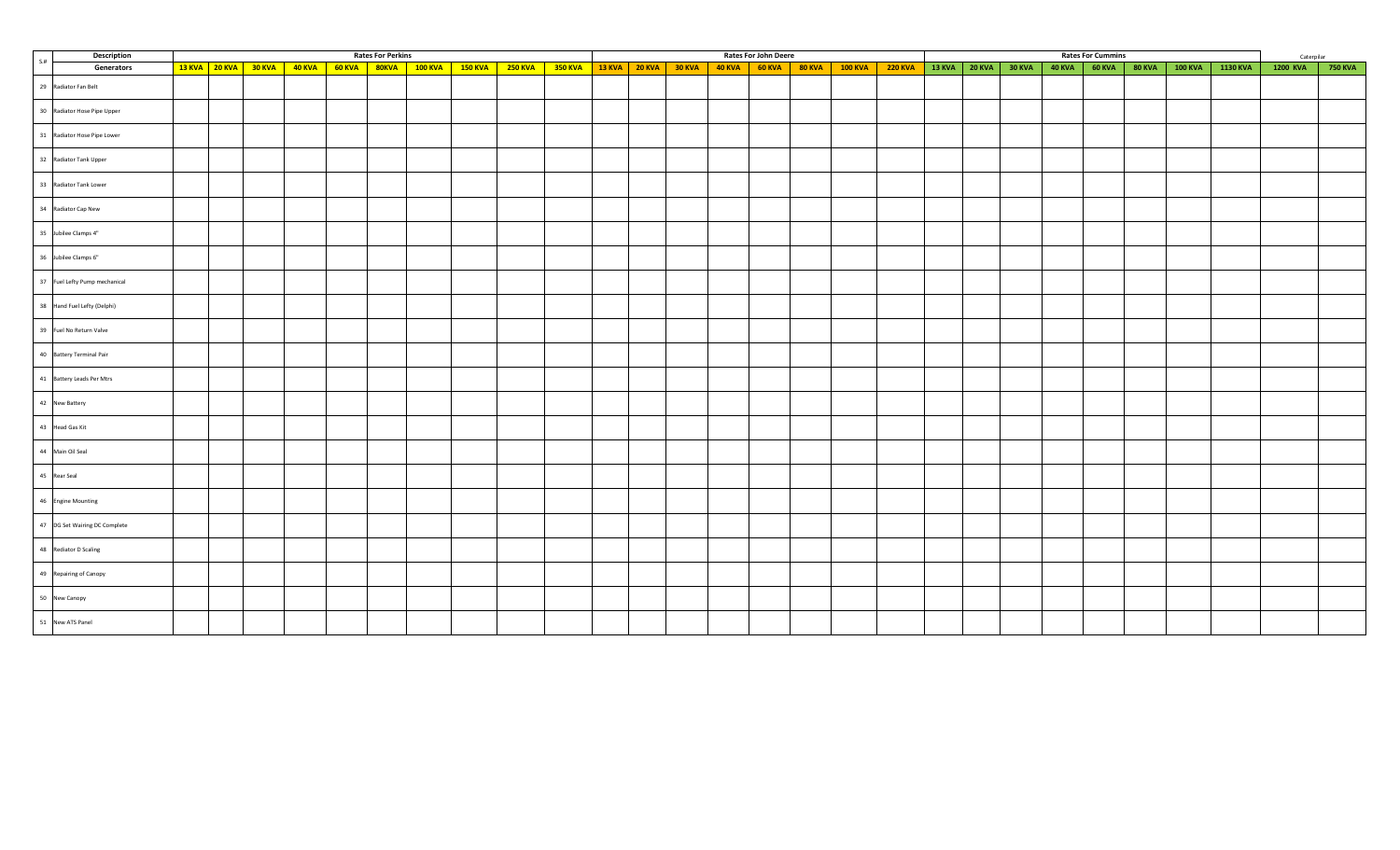|     | Description                   |                      |  | <b>Rates For Perkins</b> |                                                                      |  |         |  |  | Rates For John Deere |                                                                         |  |               |               |                 | <b>Rates For Cummins</b> |               |                |          | Caterpilar      |         |
|-----|-------------------------------|----------------------|--|--------------------------|----------------------------------------------------------------------|--|---------|--|--|----------------------|-------------------------------------------------------------------------|--|---------------|---------------|-----------------|--------------------------|---------------|----------------|----------|-----------------|---------|
| S.H | Generators                    | 13 KVA 20 KVA 30 KVA |  |                          | <mark>40 KVA   60 KVA   80KVA   100 KVA   150 KVA   250 KVA  </mark> |  | 350 KVA |  |  |                      | 13 KVA   20 KVA   30 KVA   40 KVA   60 KVA   80 KVA   100 KVA   220 KVA |  | 13 KVA 20 KVA | <b>30 KVA</b> | $40$ KVA 60 KVA |                          | <b>80 KVA</b> | <b>100 KVA</b> | 1130 KVA | <b>1200 KVA</b> | 750 KVA |
|     | 29 Radiator Fan Belt          |                      |  |                          |                                                                      |  |         |  |  |                      |                                                                         |  |               |               |                 |                          |               |                |          |                 |         |
|     | 30 Radiator Hose Pipe Upper   |                      |  |                          |                                                                      |  |         |  |  |                      |                                                                         |  |               |               |                 |                          |               |                |          |                 |         |
|     | 31 Radiator Hose Pipe Lower   |                      |  |                          |                                                                      |  |         |  |  |                      |                                                                         |  |               |               |                 |                          |               |                |          |                 |         |
|     | 32 Radiator Tank Upper        |                      |  |                          |                                                                      |  |         |  |  |                      |                                                                         |  |               |               |                 |                          |               |                |          |                 |         |
|     | 33 Radiator Tank Lower        |                      |  |                          |                                                                      |  |         |  |  |                      |                                                                         |  |               |               |                 |                          |               |                |          |                 |         |
|     | 34 Radiator Cap New           |                      |  |                          |                                                                      |  |         |  |  |                      |                                                                         |  |               |               |                 |                          |               |                |          |                 |         |
|     | 35 Jubilee Clamps 4"          |                      |  |                          |                                                                      |  |         |  |  |                      |                                                                         |  |               |               |                 |                          |               |                |          |                 |         |
|     | 36 Jubilee Clamps 6"          |                      |  |                          |                                                                      |  |         |  |  |                      |                                                                         |  |               |               |                 |                          |               |                |          |                 |         |
|     | 37 Fuel Lefty Pump mechanical |                      |  |                          |                                                                      |  |         |  |  |                      |                                                                         |  |               |               |                 |                          |               |                |          |                 |         |
|     | 38 Hand Fuel Lefty (Delphi)   |                      |  |                          |                                                                      |  |         |  |  |                      |                                                                         |  |               |               |                 |                          |               |                |          |                 |         |
|     | 39 Fuel No Return Valve       |                      |  |                          |                                                                      |  |         |  |  |                      |                                                                         |  |               |               |                 |                          |               |                |          |                 |         |
|     | 40 Battery Terminal Pair      |                      |  |                          |                                                                      |  |         |  |  |                      |                                                                         |  |               |               |                 |                          |               |                |          |                 |         |
|     | 41 Battery Leads Per Mtrs     |                      |  |                          |                                                                      |  |         |  |  |                      |                                                                         |  |               |               |                 |                          |               |                |          |                 |         |
|     | 42 New Battery                |                      |  |                          |                                                                      |  |         |  |  |                      |                                                                         |  |               |               |                 |                          |               |                |          |                 |         |
|     | 43 Head Gas Kit               |                      |  |                          |                                                                      |  |         |  |  |                      |                                                                         |  |               |               |                 |                          |               |                |          |                 |         |
|     | 44 Main Oil Seal              |                      |  |                          |                                                                      |  |         |  |  |                      |                                                                         |  |               |               |                 |                          |               |                |          |                 |         |
|     | 45 Rear Seal                  |                      |  |                          |                                                                      |  |         |  |  |                      |                                                                         |  |               |               |                 |                          |               |                |          |                 |         |
|     | 46 Engine Mounting            |                      |  |                          |                                                                      |  |         |  |  |                      |                                                                         |  |               |               |                 |                          |               |                |          |                 |         |
|     | 47 DG Set Wairing DC Complete |                      |  |                          |                                                                      |  |         |  |  |                      |                                                                         |  |               |               |                 |                          |               |                |          |                 |         |
|     | 48 Rediator D Scaling         |                      |  |                          |                                                                      |  |         |  |  |                      |                                                                         |  |               |               |                 |                          |               |                |          |                 |         |
|     | 49 Repairing of Canopy        |                      |  |                          |                                                                      |  |         |  |  |                      |                                                                         |  |               |               |                 |                          |               |                |          |                 |         |
|     | 50 New Canopy                 |                      |  |                          |                                                                      |  |         |  |  |                      |                                                                         |  |               |               |                 |                          |               |                |          |                 |         |
|     | 51 New ATS Panel              |                      |  |                          |                                                                      |  |         |  |  |                      |                                                                         |  |               |               |                 |                          |               |                |          |                 |         |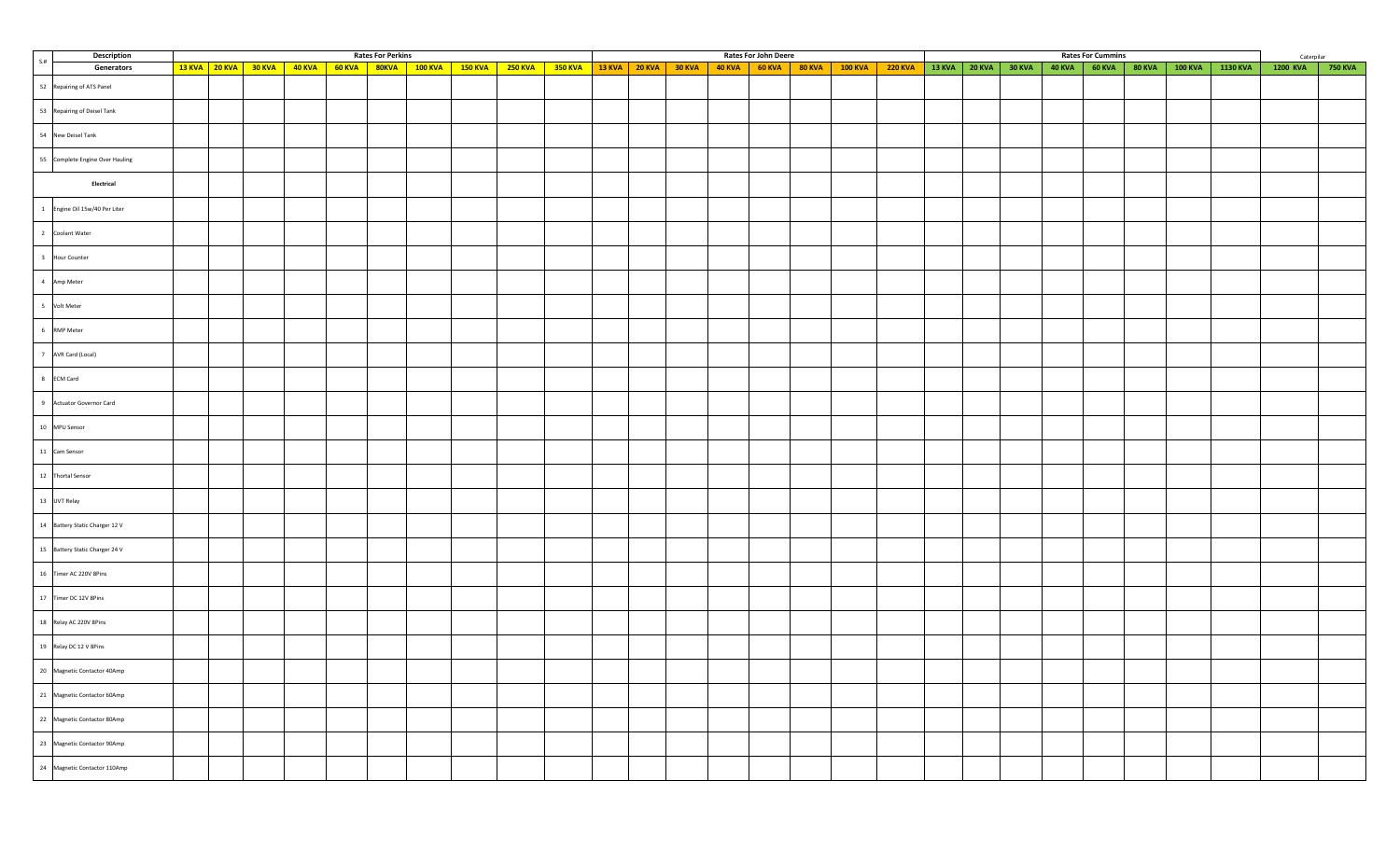| Description                     |  |  |                                                              | <b>Rates For Perkins</b> |                                          |                |                |  |                                                       | Rates For John Deere |                                                                                                          |                |                      |          | <b>Rates For Cummins</b> |               |                |          | Caterpilar |         |
|---------------------------------|--|--|--------------------------------------------------------------|--------------------------|------------------------------------------|----------------|----------------|--|-------------------------------------------------------|----------------------|----------------------------------------------------------------------------------------------------------|----------------|----------------------|----------|--------------------------|---------------|----------------|----------|------------|---------|
| S.#<br>Generators               |  |  | $\frac{13 \text{ KVA}}{20 \text{ KVA}}$ 30 KVA 40 KVA 60 KVA |                          | <mark>80КVA   100 КVA   150 КVA  </mark> | <b>250 KVA</b> | <b>350 KVA</b> |  | $13$ KVA $\vert$ 20 KVA $\vert$ 30 KVA $\vert$ 40 KVA |                      | $\begin{array}{ c c c c c c }\hline \text{60 KVA} & \text{80 KVA} & \text{100 KVA} \\\hline \end{array}$ | <b>220 KVA</b> | 13 KVA 20 KVA 30 KVA | $40$ KVA | <b>60 KVA</b>            | <b>80 KVA</b> | <b>100 KVA</b> | 1130 KVA | 1200 KVA   | 750 KVA |
| 52 Repairing of ATS Panel       |  |  |                                                              |                          |                                          |                |                |  |                                                       |                      |                                                                                                          |                |                      |          |                          |               |                |          |            |         |
| 53 Repairing of Deisel Tank     |  |  |                                                              |                          |                                          |                |                |  |                                                       |                      |                                                                                                          |                |                      |          |                          |               |                |          |            |         |
| 54 New Deisel Tank              |  |  |                                                              |                          |                                          |                |                |  |                                                       |                      |                                                                                                          |                |                      |          |                          |               |                |          |            |         |
| 55 Complete Engine Over Hauling |  |  |                                                              |                          |                                          |                |                |  |                                                       |                      |                                                                                                          |                |                      |          |                          |               |                |          |            |         |
| Electrical                      |  |  |                                                              |                          |                                          |                |                |  |                                                       |                      |                                                                                                          |                |                      |          |                          |               |                |          |            |         |
| 1 Engine Oil 15w/40 Per Liter   |  |  |                                                              |                          |                                          |                |                |  |                                                       |                      |                                                                                                          |                |                      |          |                          |               |                |          |            |         |
| 2 Coolant Water                 |  |  |                                                              |                          |                                          |                |                |  |                                                       |                      |                                                                                                          |                |                      |          |                          |               |                |          |            |         |
| 3 Hour Counter                  |  |  |                                                              |                          |                                          |                |                |  |                                                       |                      |                                                                                                          |                |                      |          |                          |               |                |          |            |         |
| 4 Amp Meter                     |  |  |                                                              |                          |                                          |                |                |  |                                                       |                      |                                                                                                          |                |                      |          |                          |               |                |          |            |         |
| 5 Volt Meter                    |  |  |                                                              |                          |                                          |                |                |  |                                                       |                      |                                                                                                          |                |                      |          |                          |               |                |          |            |         |
| 6 RMP Meter                     |  |  |                                                              |                          |                                          |                |                |  |                                                       |                      |                                                                                                          |                |                      |          |                          |               |                |          |            |         |
| 7 AVR Card (Local)              |  |  |                                                              |                          |                                          |                |                |  |                                                       |                      |                                                                                                          |                |                      |          |                          |               |                |          |            |         |
| 8 ECM Card                      |  |  |                                                              |                          |                                          |                |                |  |                                                       |                      |                                                                                                          |                |                      |          |                          |               |                |          |            |         |
| 9 Actuator Governor Card        |  |  |                                                              |                          |                                          |                |                |  |                                                       |                      |                                                                                                          |                |                      |          |                          |               |                |          |            |         |
| 10 MPU Sensor                   |  |  |                                                              |                          |                                          |                |                |  |                                                       |                      |                                                                                                          |                |                      |          |                          |               |                |          |            |         |
| 11 Cam Sensor                   |  |  |                                                              |                          |                                          |                |                |  |                                                       |                      |                                                                                                          |                |                      |          |                          |               |                |          |            |         |
| 12 Thortal Sensor               |  |  |                                                              |                          |                                          |                |                |  |                                                       |                      |                                                                                                          |                |                      |          |                          |               |                |          |            |         |
| 13 UVT Relay                    |  |  |                                                              |                          |                                          |                |                |  |                                                       |                      |                                                                                                          |                |                      |          |                          |               |                |          |            |         |
| 14 Battery Static Charger 12 V  |  |  |                                                              |                          |                                          |                |                |  |                                                       |                      |                                                                                                          |                |                      |          |                          |               |                |          |            |         |
| 15 Battery Static Charger 24 V  |  |  |                                                              |                          |                                          |                |                |  |                                                       |                      |                                                                                                          |                |                      |          |                          |               |                |          |            |         |
| 16 Timer AC 220V 8Pins          |  |  |                                                              |                          |                                          |                |                |  |                                                       |                      |                                                                                                          |                |                      |          |                          |               |                |          |            |         |
| 17 Timer DC 12V 8Pins           |  |  |                                                              |                          |                                          |                |                |  |                                                       |                      |                                                                                                          |                |                      |          |                          |               |                |          |            |         |
| 18 Relay AC 220V 8Pins          |  |  |                                                              |                          |                                          |                |                |  |                                                       |                      |                                                                                                          |                |                      |          |                          |               |                |          |            |         |
| 19 Relay DC 12 V 8Pins          |  |  |                                                              |                          |                                          |                |                |  |                                                       |                      |                                                                                                          |                |                      |          |                          |               |                |          |            |         |
| Magnetic Contactor 40Amp        |  |  |                                                              |                          |                                          |                |                |  |                                                       |                      |                                                                                                          |                |                      |          |                          |               |                |          |            |         |
| 21 Magnetic Contactor 60Amp     |  |  |                                                              |                          |                                          |                |                |  |                                                       |                      |                                                                                                          |                |                      |          |                          |               |                |          |            |         |
| 22 Magnetic Contactor 80Amp     |  |  |                                                              |                          |                                          |                |                |  |                                                       |                      |                                                                                                          |                |                      |          |                          |               |                |          |            |         |
| 23 Magnetic Contactor 90Amp     |  |  |                                                              |                          |                                          |                |                |  |                                                       |                      |                                                                                                          |                |                      |          |                          |               |                |          |            |         |
| 24 Magnetic Contactor 110Amp    |  |  |                                                              |                          |                                          |                |                |  |                                                       |                      |                                                                                                          |                |                      |          |                          |               |                |          |            |         |